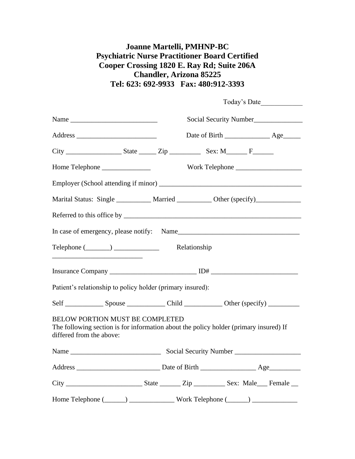## **Joanne Martelli, PMHNP-BC Psychiatric Nurse Practitioner Board Certified Cooper Crossing 1820 E. Ray Rd; Suite 206A Chandler, Arizona 85225 Tel: 623: 692-9933 Fax: 480:912-3393**

|                                                                    | Today's Date                                                                          |
|--------------------------------------------------------------------|---------------------------------------------------------------------------------------|
|                                                                    |                                                                                       |
|                                                                    |                                                                                       |
|                                                                    |                                                                                       |
|                                                                    |                                                                                       |
|                                                                    |                                                                                       |
|                                                                    | Marital Status: Single _________ Married _________ Other (specify)_____________       |
|                                                                    |                                                                                       |
|                                                                    |                                                                                       |
| Telephone (________) ______________________ Relationship           |                                                                                       |
|                                                                    |                                                                                       |
| Patient's relationship to policy holder (primary insured):         |                                                                                       |
|                                                                    |                                                                                       |
| <b>BELOW PORTION MUST BE COMPLETED</b><br>differed from the above: | The following section is for information about the policy holder (primary insured) If |
|                                                                    |                                                                                       |
|                                                                    |                                                                                       |
|                                                                    |                                                                                       |
|                                                                    |                                                                                       |